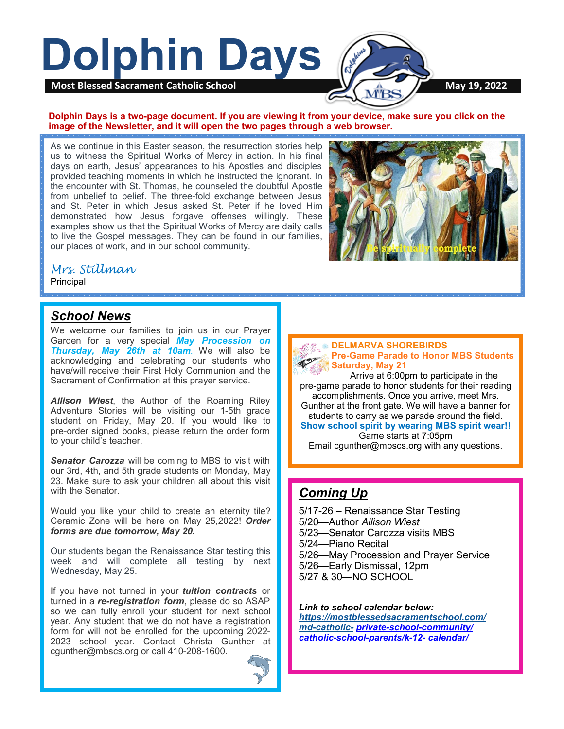

#### **Dolphin Days is a two-page document. If you are viewing it from your device, make sure you click on the image of the Newsletter, and it will open the two pages through a web browser.**

As we continue in this Easter season, the resurrection stories help us to witness the Spiritual Works of Mercy in action. In his final days on earth, Jesus' appearances to his Apostles and disciples provided teaching moments in which he instructed the ignorant. In the encounter with St. Thomas, he counseled the doubtful Apostle from unbelief to belief. The three-fold exchange between Jesus and St. Peter in which Jesus asked St. Peter if he loved Him demonstrated how Jesus forgave offenses willingly. These examples show us that the Spiritual Works of Mercy are daily calls to live the Gospel messages. They can be found in our families, our places of work, and in our school community.



### *Mrs. Stillman*

Principal

### *School News*

We welcome our families to join us in our Prayer Garden for a very special *May Procession on Thursday, May 26th at 10am*. We will also be acknowledging and celebrating our students who have/will receive their First Holy Communion and the Sacrament of Confirmation at this prayer service.

*Allison Wiest*, the Author of the Roaming Riley Adventure Stories will be visiting our 1-5th grade student on Friday, May 20. If you would like to pre-order signed books, please return the order form to your child's teacher.

**Senator Carozza** will be coming to MBS to visit with our 3rd, 4th, and 5th grade students on Monday, May 23. Make sure to ask your children all about this visit with the Senator.

Would you like your child to create an eternity tile? Ceramic Zone will be here on May 25,2022! *Order forms are due tomorrow, May 20.*

Our students began the Renaissance Star testing this week and will complete all testing by next Wednesday, May 25.

If you have not turned in your *tuition contracts* or turned in a *re-registration form*, please do so ASAP so we can fully enroll your student for next school year. Any student that we do not have a registration form for will not be enrolled for the upcoming 2022- 2023 school year. Contact Christa Gunther at cgunther@mbscs.org or call 410-208-1600.





Arrive at 6:00pm to participate in the pre-game parade to honor students for their reading accomplishments. Once you arrive, meet Mrs. Gunther at the front gate. We will have a banner for students to carry as we parade around the field. **Show school spirit by wearing MBS spirit wear!!**  Game starts at 7:05pm

Email cgunther@mbscs.org with any questions.

# *Coming Up*

5/17-26 – Renaissance Star Testing 5/20—Author *Allison Wiest*  5/23—Senator Carozza visits MBS 5/24—Piano Recital 5/26—May Procession and Prayer Service 5/26—Early Dismissal, 12pm

5/27 & 30—NO SCHOOL

*Link to school calendar below: [https://mostblessedsacramentschool.com/](https://mostblessedsacramentschool.com/md-catholic-) md-[catholic](https://mostblessedsacramentschool.com/md-catholic-)- private-school-[community/](https://mostblessedsacramentschool.com/md-catholic-private-school-community/catholic-school-parents/k-12-calendar/) catholic-school-[parents/k](https://mostblessedsacramentschool.com/md-catholic-private-school-community/catholic-school-parents/k-12-calendar/)-12- [calendar/](https://mostblessedsacramentschool.com/md-catholic-private-school-community/catholic-school-parents/k-12-calendar/)*